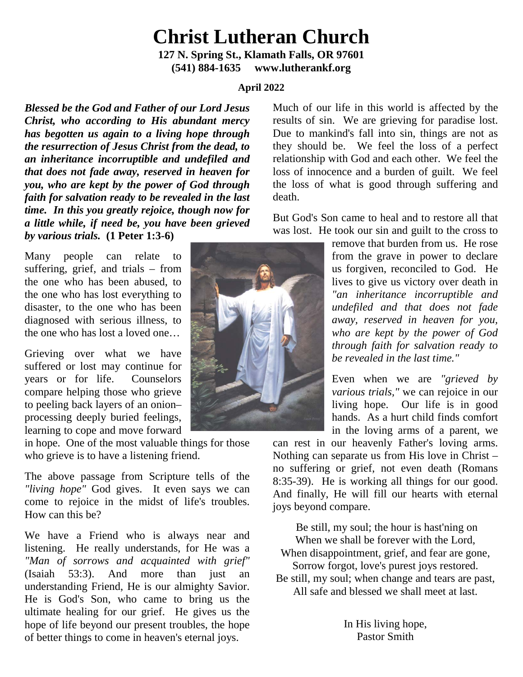# **Christ Lutheran Church 127 N. Spring St., Klamath Falls, OR 97601**

**(541) 884-1635 www.lutherankf.org**

# **April 2022**

*Blessed be the God and Father of our Lord Jesus Christ, who according to His abundant mercy has begotten us again to a living hope through the resurrection of Jesus Christ from the dead, to an inheritance incorruptible and undefiled and that does not fade away, reserved in heaven for you, who are kept by the power of God through faith for salvation ready to be revealed in the last time. In this you greatly rejoice, though now for a little while, if need be, you have been grieved by various trials.* **(1 Peter 1:3-6)**

Many people can relate to suffering, grief, and trials – from the one who has been abused, to the one who has lost everything to disaster, to the one who has been diagnosed with serious illness, to the one who has lost a loved one…

Grieving over what we have suffered or lost may continue for years or for life. Counselors compare helping those who grieve to peeling back layers of an onion– processing deeply buried feelings, learning to cope and move forward

in hope. One of the most valuable things for those who grieve is to have a listening friend.

The above passage from Scripture tells of the *"living hope"* God gives. It even says we can come to rejoice in the midst of life's troubles. How can this be?

We have a Friend who is always near and listening. He really understands, for He was a *"Man of sorrows and acquainted with grief"*  (Isaiah 53:3). And more than just an understanding Friend, He is our almighty Savior. He is God's Son, who came to bring us the ultimate healing for our grief. He gives us the hope of life beyond our present troubles, the hope of better things to come in heaven's eternal joys.



Much of our life in this world is affected by the results of sin. We are grieving for paradise lost. Due to mankind's fall into sin, things are not as they should be. We feel the loss of a perfect relationship with God and each other. We feel the loss of innocence and a burden of guilt. We feel the loss of what is good through suffering and death.

But God's Son came to heal and to restore all that was lost. He took our sin and guilt to the cross to

> remove that burden from us. He rose from the grave in power to declare us forgiven, reconciled to God. He lives to give us victory over death in *"an inheritance incorruptible and undefiled and that does not fade away, reserved in heaven for you, who are kept by the power of God through faith for salvation ready to be revealed in the last time."*

> Even when we are *"grieved by various trials,"* we can rejoice in our living hope. Our life is in good hands. As a hurt child finds comfort in the loving arms of a parent, we

can rest in our heavenly Father's loving arms. Nothing can separate us from His love in Christ – no suffering or grief, not even death (Romans 8:35-39). He is working all things for our good. And finally, He will fill our hearts with eternal joys beyond compare.

Be still, my soul; the hour is hast'ning on When we shall be forever with the Lord. When disappointment, grief, and fear are gone, Sorrow forgot, love's purest joys restored. Be still, my soul; when change and tears are past, All safe and blessed we shall meet at last.

> In His living hope, Pastor Smith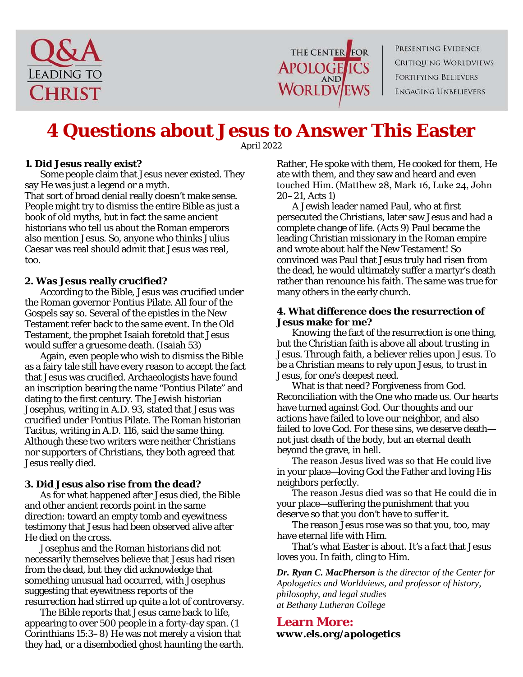



PRESENTING EVIDENCE **CRITIQUING WORLDVIEWS FORTIFYING BELIEVERS ENGAGING UNBELIEVERS** 

# **4 Questions about Jesus to Answer This Easter**

*April 2022*

# **1. Did Jesus really exist?**

Some people claim that Jesus never existed. They say He was just a legend or a myth.

That sort of broad denial really doesn't make sense. People might try to dismiss the entire Bible as just a book of old myths, but in fact the same ancient historians who tell us about the Roman emperors also mention Jesus. So, anyone who thinks Julius Caesar was real should admit that Jesus was real, too.

### **2. Was Jesus really crucified?**

According to the Bible, Jesus was crucified under the Roman governor Pontius Pilate. All four of the Gospels say so. Several of the epistles in the New Testament refer back to the same event. In the Old Testament, the prophet Isaiah foretold that Jesus would suffer a gruesome death. (Isaiah 53)

Again, even people who wish to dismiss the Bible as a fairy tale still have every reason to accept the fact that Jesus was crucified. Archaeologists have found an inscription bearing the name "Pontius Pilate" and dating to the first century. The Jewish historian Josephus, writing in A.D. 93, stated that Jesus was crucified under Pontius Pilate. The Roman historian Tacitus, writing in A.D. 116, said the same thing. Although these two writers were neither Christians nor supporters of Christians, they both agreed that Jesus really died.

### **3. Did Jesus also rise from the dead?**

As for what happened after Jesus died, the Bible and other ancient records point in the same direction: toward an empty tomb and eyewitness testimony that Jesus had been observed alive after He died on the cross.

Josephus and the Roman historians did not necessarily themselves believe that Jesus had risen from the dead, but they did acknowledge that something unusual had occurred, with Josephus suggesting that eyewitness reports of the resurrection had stirred up quite a lot of controversy.

The Bible reports that Jesus came back to life, appearing to over 500 people in a forty-day span. (1 Corinthians 15:3–8) He was not merely a vision that they had, or a disembodied ghost haunting the earth. Rather, He spoke with them, He cooked for them, He ate with them, and they saw and heard and even touched Ηim. (Matthew 28, Mark 16, Luke 24, John 20–21, Acts 1)

A Jewish leader named Paul, who at first persecuted the Christians, later saw Jesus and had a complete change of life. (Acts 9) Paul became the leading Christian missionary in the Roman empire and wrote about half the New Testament! So convinced was Paul that Jesus truly had risen from the dead, he would ultimately suffer a martyr's death rather than renounce his faith. The same was true for many others in the early church.

#### **4. What difference does the resurrection of Jesus make for me?**

*Knowing* the fact of the resurrection is one thing, but the Christian faith is above all about *trusting* in Jesus. Through faith, a believer relies upon Jesus. To be a Christian means to rely upon Jesus, to trust in Jesus, for one's deepest need.

What is that need? Forgiveness from God. Reconciliation with the One who made us. Our hearts have turned against God. Our thoughts and our actions have failed to love our neighbor, and also failed to love God. For these sins, we deserve death not just death of the body, but an eternal death beyond the grave, in hell.

The reason Jesus lived was so that Ηe could live in your place—loving God the Father and loving His neighbors perfectly.

The reason Jesus died was so that Ηe could die in your place—suffering the punishment that you deserve so that you don't have to suffer it.

The reason Jesus rose was so that you, too, may have eternal life with Him.

That's what Easter is about. It's a fact that Jesus loves you. In faith, cling to Him.

*Dr. Ryan C. MacPherson is the director of the Center for Apologetics and Worldviews, and professor of history, philosophy, and legal studies at Bethany Lutheran College*

**Learn More:** *www.els.org/apologetics*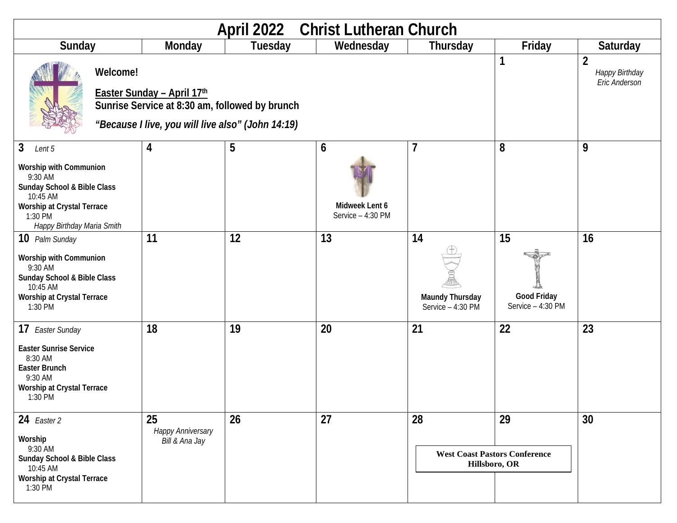| April 2022 Christ Lutheran Church                                                                                                                                                    |                                                                                                                                               |                                                  |         |                                          |                                                             |                                               |                                                   |
|--------------------------------------------------------------------------------------------------------------------------------------------------------------------------------------|-----------------------------------------------------------------------------------------------------------------------------------------------|--------------------------------------------------|---------|------------------------------------------|-------------------------------------------------------------|-----------------------------------------------|---------------------------------------------------|
| Sunday                                                                                                                                                                               |                                                                                                                                               | Monday                                           | Tuesday | Wednesday                                | Thursday                                                    | Friday                                        | <b>Saturday</b>                                   |
|                                                                                                                                                                                      | Welcome!<br>Easter Sunday - April 17th<br>Sunrise Service at 8:30 am, followed by brunch<br>"Because I live, you will live also" (John 14:19) |                                                  |         |                                          |                                                             | 1                                             | $\overline{2}$<br>Happy Birthday<br>Eric Anderson |
| $\mathbf{3}$<br>Lent 5<br>Worship with Communion<br>9:30 AM<br>Sunday School & Bible Class<br>10:45 AM<br><b>Worship at Crystal Terrace</b><br>1:30 PM<br>Happy Birthday Maria Smith |                                                                                                                                               | 4                                                | 5       | 6<br>Midweek Lent 6<br>Service - 4:30 PM | 7                                                           | 8                                             | 9                                                 |
| 10 Palm Sunday<br>Worship with Communion<br>9:30 AM<br>Sunday School & Bible Class<br>10:45 AM<br>Worship at Crystal Terrace<br>1:30 PM                                              |                                                                                                                                               | 11                                               | 12      | 13                                       | 14<br>Maundy Thursday<br>Service - 4:30 PM                  | 15<br><b>Good Friday</b><br>Service - 4:30 PM | 16                                                |
| 17 Easter Sunday<br><b>Easter Sunrise Service</b><br>8:30 AM<br><b>Easter Brunch</b><br>9:30 AM<br><b>Worship at Crystal Terrace</b><br>1:30 PM                                      |                                                                                                                                               | 18                                               | 19      | 20                                       | 21                                                          | 22                                            | 23                                                |
| 24 Easter 2<br>Worship<br>9:30 AM<br>Sunday School & Bible Class<br>10:45 AM<br><b>Worship at Crystal Terrace</b><br>1:30 PM                                                         |                                                                                                                                               | 25<br><b>Happy Anniversary</b><br>Bill & Ana Jay | 26      | 27                                       | 28<br><b>West Coast Pastors Conference</b><br>Hillsboro, OR | 29                                            | 30                                                |